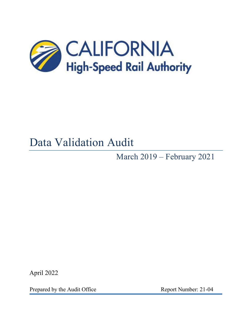

# Data Validation Audit

March 2019 – February 2021

April 2022

Prepared by the Audit Office Report Number: 21-04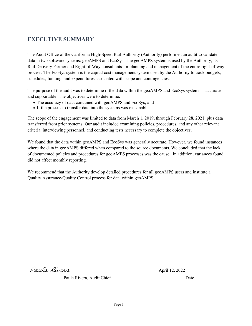# **EXECUTIVE SUMMARY**

The Audit Office of the California High-Speed Rail Authority (Authority) performed an audit to validate data in two software systems: geoAMPS and EcoSys. The geoAMPS system is used by the Authority, its Rail Delivery Partner and Right-of-Way consultants for planning and management of the entire right-of-way process. The EcoSys system is the capital cost management system used by the Authority to track budgets, schedules, funding, and expenditures associated with scope and contingencies.

The purpose of the audit was to determine if the data within the geoAMPS and EcoSys systems is accurate and supportable. The objectives were to determine:

- The accuracy of data contained with geoAMPS and EcoSys; and
- If the process to transfer data into the systems was reasonable.

The scope of the engagement was limited to data from March 1, 2019, through February 28, 2021, plus data transferred from prior systems. Our audit included examining policies, procedures, and any other relevant criteria, interviewing personnel, and conducting tests necessary to complete the objectives.

We found that the data within geoAMPS and EcoSys was generally accurate. However, we found instances where the data in geoAMPS differed when compared to the source documents. We concluded that the lack of documented policies and procedures for geoAMPS processes was the cause. In addition, variances found did not affect monthly reporting.

We recommend that the Authority develop detailed procedures for all geoAMPS users and institute a Quality Assurance/Quality Control process for data within geoAMPS.

Paula Rivera

April 12, 2022

Paula Rivera, Audit Chief **Date** Date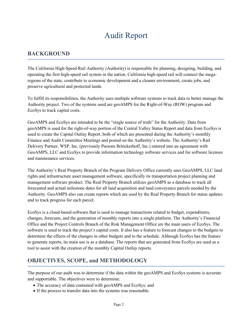# Audit Report

### **BACKGROUND**

The California High-Speed Rail Authority (Authority) is responsible for planning, designing, building, and operating the first high-speed rail system in the nation. California high-speed rail will connect the megaregions of the state, contribute to economic development and a cleaner environment, create jobs, and preserve agricultural and protected lands.

To fulfill its responsibilities, the Authority uses multiple software systems to track data to better manage the Authority project. Two of the systems used are geoAMPS for the Right-of-Way (ROW) program and EcoSys to track capital costs.

GeoAMPS and EcoSys are intended to be the "single source of truth" for the Authority. Data from geoAMPS is used for the right-of-way portion of the Central Valley Status Report and data from EcoSys is used to create the Capital Outlay Report, both of which are presented during the Authority's monthly Finance and Audit Committee Meetings and posted on the Authority's website. The Authority's Rail Delivery Partner, WSP, Inc. (previously Parsons Brinckerhoff, Inc.) entered into an agreement with GeoAMPS, LLC and EcoSys to provide information technology software services and for software licenses and maintenance services.

The Authority's Real Property Branch of the Program Delivery Office currently uses GeoAMPS, LLC land rights and infrastructure asset management software, specifically its transportation project planning and management software product. The Real Property Branch utilizes geoAMPS as a database to track all forecasted and actual milestone dates for all land acquisition and land conveyance parcels needed by the Authority. GeoAMPS also can create reports which are used by the Real Property Branch for status updates and to track progress for each parcel.

EcoSys is a cloud-based software that is used to manage transactions related to budget, expenditures, changes, forecasts, and the generation of monthly reports into a single platform. The Authority's Financial Office and the Project Controls Branch of the Risk Management Office are the main users of EcoSys. The software is used to track the project's capital costs. It also has a feature to forecast changes to the budgets to determine the effects of the changes in other budgets and to the schedule. Although EcoSys has the feature to generate reports, its main use is as a database. The reports that are generated from EcoSys are used as a tool to assist with the creation of the monthly Capital Outlay reports.

## **OBJECTIVES, SCOPE, and METHODOLOGY**

The purpose of our audit was to determine if the data within the geoAMPS and EcoSys systems is accurate and supportable. The objectives were to determine:

- The accuracy of data contained with geoAMPS and EcoSys; and
- If the process to transfer data into the systems was reasonable.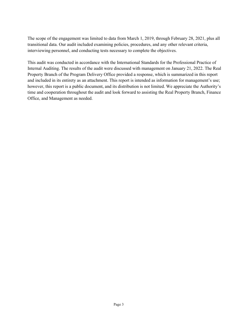The scope of the engagement was limited to data from March 1, 2019, through February 28, 2021, plus all transitional data. Our audit included examining policies, procedures, and any other relevant criteria, interviewing personnel, and conducting tests necessary to complete the objectives.

This audit was conducted in accordance with the International Standards for the Professional Practice of Internal Auditing. The results of the audit were discussed with management on January 21, 2022. The Real Property Branch of the Program Delivery Office provided a response, which is summarized in this report and included in its entirety as an attachment. This report is intended as information for management's use; however, this report is a public document, and its distribution is not limited. We appreciate the Authority's time and cooperation throughout the audit and look forward to assisting the Real Property Branch, Finance Office, and Management as needed.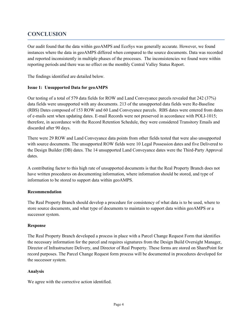# **CONCLUSION**

Our audit found that the data within geoAMPS and EcoSys was generally accurate. However, we found instances where the data in geoAMPS differed when compared to the source documents. Data was recorded and reported inconsistently in multiple phases of the processes. The inconsistencies we found were within reporting periods and there was no effect on the monthly Central Valley Status Report.

The findings identified are detailed below.

#### **Issue 1: Unsupported Data for geoAMPS**

Our testing of a total of 579 data fields for ROW and Land Conveyance parcels revealed that 242 (37%) data fields were unsupported with any documents. 213 of the unsupported data fields were Re-Baseline (RBS) Dates composed of 153 ROW and 60 Land Conveyance parcels. RBS dates were entered from dates of e-mails sent when updating dates. E-mail Records were not preserved in accordance with POLI-1015; therefore, in accordance with the Record Retention Schedule, they were considered Transitory Emails and discarded after 90 days.

There were 29 ROW and Land Conveyance data points from other fields tested that were also unsupported with source documents. The unsupported ROW fields were 10 Legal Possession dates and five Delivered to the Design Builder (DB) dates. The 14 unsupported Land Conveyance dates were the Third-Party Approval dates.

A contributing factor to this high rate of unsupported documents is that the Real Property Branch does not have written procedures on documenting information, where information should be stored, and type of information to be stored to support data within geoAMPS.

#### **Recommendation**

The Real Property Branch should develop a procedure for consistency of what data is to be used, where to store source documents, and what type of documents to maintain to support data within geoAMPS or a successor system.

#### **Response**

The Real Property Branch developed a process in place with a Parcel Change Request Form that identifies the necessary information for the parcel and requires signatures from the Design Build Oversight Manager, Director of Infrastructure Delivery, and Director of Real Property. These forms are stored on SharePoint for record purposes. The Parcel Change Request form process will be documented in procedures developed for the successor system.

#### **Analysis**

We agree with the corrective action identified.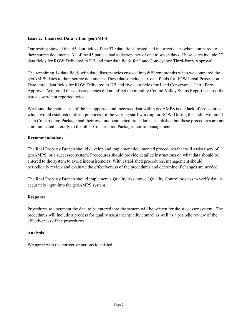#### **Issue 2: Incorrect Data within geoAMPS**

Our testing showed that 45 data fields of the 579 data fields tested had incorrect dates when compared to their source documents. 31 of the 45 parcels had a discrepancy of one to seven days. These dates include 27 data fields for ROW Delivered to DB and four data fields for Land Conveyance Third-Party Approval.

The remaining 14 data fields with date discrepancies crossed into different months when we compared the geoAMPS dates to their source documents. These dates include six data fields for ROW Legal Possession Date, three data fields for ROW Delivered to DB and five data fields for Land Conveyance Third Party Approval. We found these discrepancies did not affect the monthly Central Valley Status Report because the parcels were not reported twice.

We found the main cause of the unsupported and incorrect data within geoAMPS is the lack of procedures which would establish uniform practices for the varying staff working on ROW. During the audit, we found each Construction Package had their own undocumented procedures established but these procedures are not communicated laterally to the other Construction Packages nor to management.

#### **Recommendations**

The Real Property Branch should develop and implement documented procedures that will assist users of geoAMPS, or a successor system. Procedures should provide detailed instructions on what data should be entered to the system to avoid inconsistencies. With established procedures, management should periodically review and evaluate the effectiveness of the procedures and determine if changes are needed.

The Real Property Branch should implement a Quality Assurance / Quality Control process to verify data is accurately input into the geoAMPS system.

#### **Response**

Procedures to document the data to be entered into the system will be written for the successor system. The procedures will include a process for quality assurance/quality control as well as a periodic review of the effectiveness of the procedures.

#### **Analysis**

We agree with the corrective actions identified.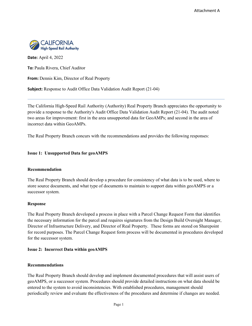

**Date:** April 4, 2022

**To:** Paula Rivera, Chief Auditor

**From:** Dennis Kim, Director of Real Property

**Subject:** Response to Audit Office Data Validation Audit Report (21-04)

The California High-Speed Rail Authority (Authority) Real Property Branch appreciates the opportunity to provide a response to the Authority's Audit Office Data Validation Audit Report (21-04). The audit noted two areas for improvement: first in the area unsupported data for GeoAMPs; and second in the area of incorrect data within GeoAMPs.

The Real Property Branch concurs with the recommendations and provides the following responses:

#### **Issue 1: Unsupported Data for geoAMPS**

#### **Recommendation**

The Real Property Branch should develop a procedure for consistency of what data is to be used, where to store source documents, and what type of documents to maintain to support data within geoAMPS or a successor system.

#### **Response**

The Real Property Branch developed a process in place with a Parcel Change Request Form that identifies the necessary information for the parcel and requires signatures from the Design Build Oversight Manager, Director of Infrastructure Delivery, and Director of Real Property. These forms are stored on Sharepoint for record purposes. The Parcel Change Request form process will be documented in procedures developed for the successor system.

#### **Issue 2: Incorrect Data within geoAMPS**

#### **Recommendations**

The Real Property Branch should develop and implement documented procedures that will assist users of geoAMPS, or a successor system. Procedures should provide detailed instructions on what data should be entered to the system to avoid inconsistencies. With established procedures, management should periodically review and evaluate the effectiveness of the procedures and determine if changes are needed.